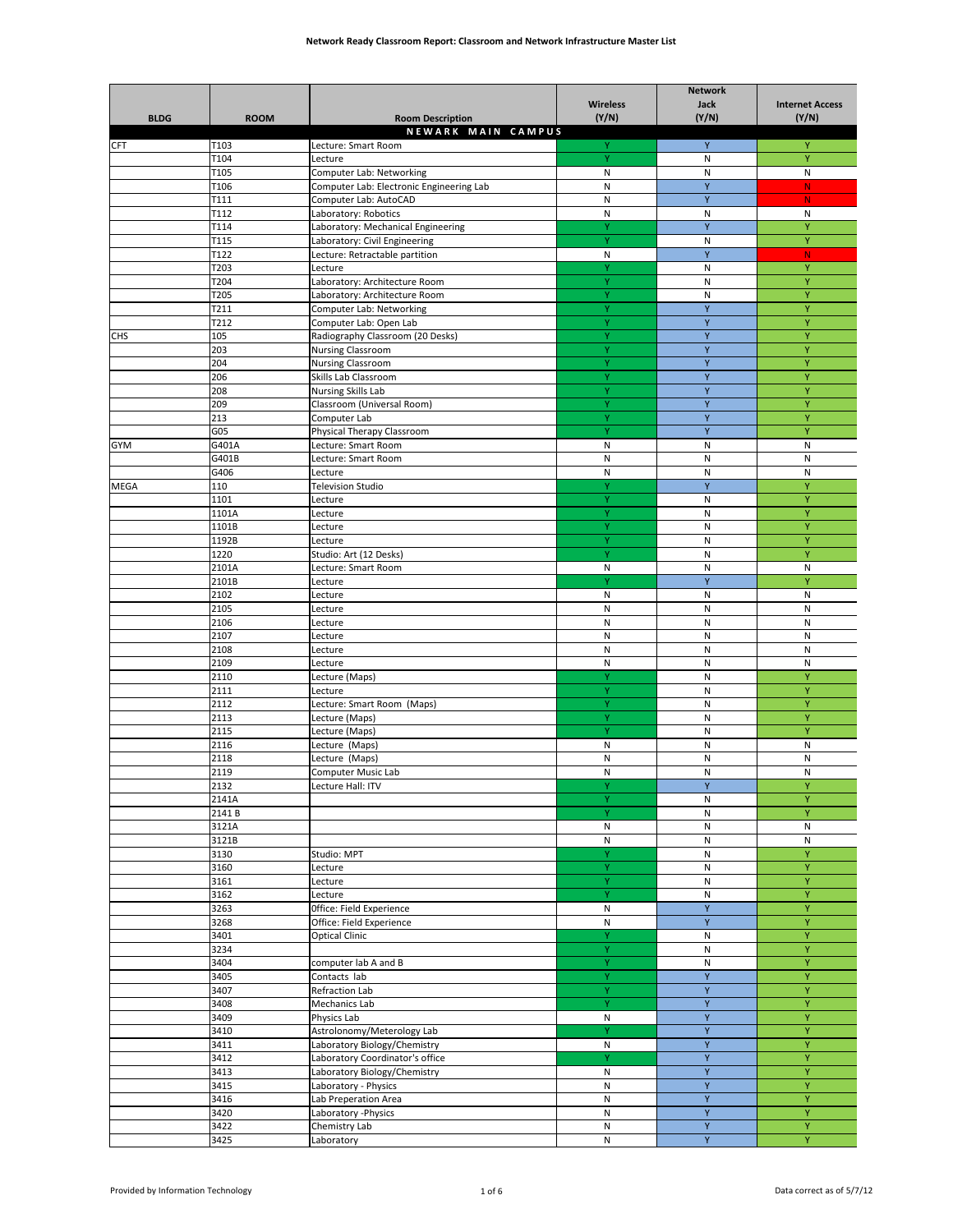|             |                 |                                                   |                 | <b>Network</b>          |                        |
|-------------|-----------------|---------------------------------------------------|-----------------|-------------------------|------------------------|
|             |                 |                                                   | <b>Wireless</b> | <b>Jack</b>             | <b>Internet Access</b> |
| <b>BLDG</b> | <b>ROOM</b>     | <b>Room Description</b>                           | (Y/N)           | (Y/N)                   | (Y/N)                  |
| <b>CFT</b>  | T103            | NEWARK MAIN CAMPUS<br>Lecture: Smart Room         | Y               | Y                       | Y                      |
|             | T104            | Lecture                                           | Y               | ${\sf N}$               | Υ                      |
|             | T105            | Computer Lab: Networking                          | N               | N                       | ${\sf N}$              |
|             | T106            | Computer Lab: Electronic Engineering Lab          | N               | Y                       | N                      |
|             | T111            | Computer Lab: AutoCAD                             | N               | Y                       | N.                     |
|             | T112            | Laboratory: Robotics                              | N               | N                       | N                      |
|             | T114            | Laboratory: Mechanical Engineering                | Y               | Y                       | Ÿ                      |
|             | T115            | Laboratory: Civil Engineering                     | Y               | ${\sf N}$               | Ÿ                      |
|             | T122            | Lecture: Retractable partition                    | N               | Y                       | N.                     |
|             | T203            | Lecture                                           | Y               | ${\sf N}$               | Y                      |
|             | T204            | Laboratory: Architecture Room                     | Y               | N                       | Ÿ                      |
|             | T205            | Laboratory: Architecture Room                     | Y               | N                       | Y                      |
|             | T211            | Computer Lab: Networking                          | Y               | Y                       | Ÿ                      |
|             | T212            | Computer Lab: Open Lab                            | Y               | Y                       | Υ                      |
| CHS         | 105<br>203      | Radiography Classroom (20 Desks)                  | Ÿ               | Y<br>Y                  | Y<br>Ÿ                 |
|             | 204             | <b>Nursing Classroom</b>                          |                 | Y                       | Ÿ                      |
|             | 206             | <b>Nursing Classroom</b><br>Skills Lab Classroom  | Ÿ               | Y                       | Ÿ                      |
|             | 208             | Nursing Skills Lab                                | Y               | Y                       | Ÿ                      |
|             | 209             | Classroom (Universal Room)                        | Y               | Y                       | Ÿ                      |
|             | 213             | Computer Lab                                      | Y               | Y                       | Ÿ                      |
|             | G <sub>05</sub> | Physical Therapy Classroom                        | Y               | Y                       | Ÿ                      |
| <b>GYM</b>  | G401A           | Lecture: Smart Room                               | N               | ${\sf N}$               | N                      |
|             | G401B           | Lecture: Smart Room                               | N               | N                       | N                      |
|             | G406            | Lecture                                           | N               | N                       | N                      |
| <b>MEGA</b> | 110             | <b>Television Studio</b>                          |                 | Y                       | Y                      |
|             | 1101            | Lecture                                           | Y               | N                       | Ÿ                      |
|             | 1101A           | Lecture                                           |                 | N                       | Y                      |
|             | 1101B           | Lecture                                           | Ÿ               | N                       | Ÿ                      |
|             | 1192B           | Lecture                                           | Ÿ               | N                       | Ÿ                      |
|             | 1220            | Studio: Art (12 Desks)                            | Ÿ               | N                       | Ÿ                      |
|             | 2101A           | Lecture: Smart Room                               | ${\sf N}$       | ${\sf N}$               | N                      |
|             | 2101B           | Lecture                                           | Y               | Y                       | Ÿ                      |
|             | 2102            | Lecture                                           | N               | N                       | N                      |
|             | 2105            | Lecture                                           | N               | N                       | N                      |
|             | 2106            | Lecture                                           | N               | ${\sf N}$               | N                      |
|             | 2107            | Lecture                                           | N               | N                       | N                      |
|             | 2108            | Lecture                                           | ${\sf N}$       | ${\sf N}$               | N                      |
|             | 2109<br>2110    | Lecture                                           | ${\sf N}$       | ${\sf N}$               | N<br>Y                 |
|             | 2111            | Lecture (Maps)<br>Lecture                         |                 | N<br>N                  | Ÿ                      |
|             | 2112            | Lecture: Smart Room (Maps)                        | Ÿ               | N                       | Ÿ                      |
|             | 2113            | Lecture (Maps)                                    | Y               | N                       | Ÿ                      |
|             | 2115            | Lecture (Maps)                                    | Y               | N                       | Ÿ                      |
|             | 2116            | Lecture (Maps)                                    | N               | ${\sf N}$               | N                      |
|             | 2118            | Lecture (Maps)                                    | N               | N                       | N                      |
|             | 2119            | <b>Computer Music Lab</b>                         | N               | N                       | N                      |
|             | 2132            | Lecture Hall: ITV                                 |                 | Y                       | Υ                      |
|             | 2141A           |                                                   | Y               | ${\sf N}$               | Y                      |
|             | 2141B           |                                                   | Y               | ${\sf N}$               | Y                      |
|             | 3121A           |                                                   | ${\sf N}$       | ${\sf N}$               | ${\sf N}$              |
|             | 3121B           |                                                   | ${\sf N}$       | ${\sf N}$               | N                      |
|             | 3130            | Studio: MPT                                       | Y               | ${\sf N}$               | Ÿ                      |
|             | 3160            | Lecture                                           | Ÿ               | ${\sf N}$               | Ÿ                      |
|             | 3161            | Lecture                                           | Y               | ${\sf N}$               | Ÿ                      |
|             | 3162            | Lecture                                           | Y               | ${\sf N}$               | Ÿ                      |
|             | 3263            | Office: Field Experience                          | ${\sf N}$       | Ÿ<br>Y                  | Ÿ<br>Ÿ                 |
|             | 3268            | Office: Field Experience<br><b>Optical Clinic</b> | ${\sf N}$<br>Y  | ${\sf N}$               | Ÿ                      |
|             | 3401<br>3234    |                                                   | Ÿ               | ${\sf N}$               | Ÿ                      |
|             | 3404            | computer lab A and B                              | Y               | ${\sf N}$               | Ÿ                      |
|             | 3405            | Contacts lab                                      | Y               | Y                       | Ÿ                      |
|             | 3407            | Refraction Lab                                    | Y               | Y                       | Ÿ                      |
|             | 3408            | Mechanics Lab                                     | Y               | $\overline{\mathsf{Y}}$ | Ÿ                      |
|             | 3409            | Physics Lab                                       | ${\sf N}$       | Y                       | Ÿ                      |
|             | 3410            | Astrolonomy/Meterology Lab                        | Y               | Y                       | Ÿ                      |
|             | 3411            | Laboratory Biology/Chemistry                      | ${\sf N}$       | Y                       | Ÿ                      |
|             | 3412            | Laboratory Coordinator's office                   | Ÿ               | Y                       | Ÿ                      |
|             | 3413            | Laboratory Biology/Chemistry                      | ${\sf N}$       | Y                       | Ÿ                      |
|             | 3415            | Laboratory - Physics                              | ${\sf N}$       | $\overline{\mathsf{Y}}$ | Ÿ                      |
|             | 3416            | Lab Preperation Area                              | ${\sf N}$       | Y                       | Ÿ                      |
|             | 3420            | Laboratory - Physics                              | N               | Y                       | Ÿ                      |
|             | 3422            | Chemistry Lab                                     | N               | Y.                      | Y.                     |
|             | 3425            | Laboratory                                        | ${\sf N}$       | Y                       | Ÿ                      |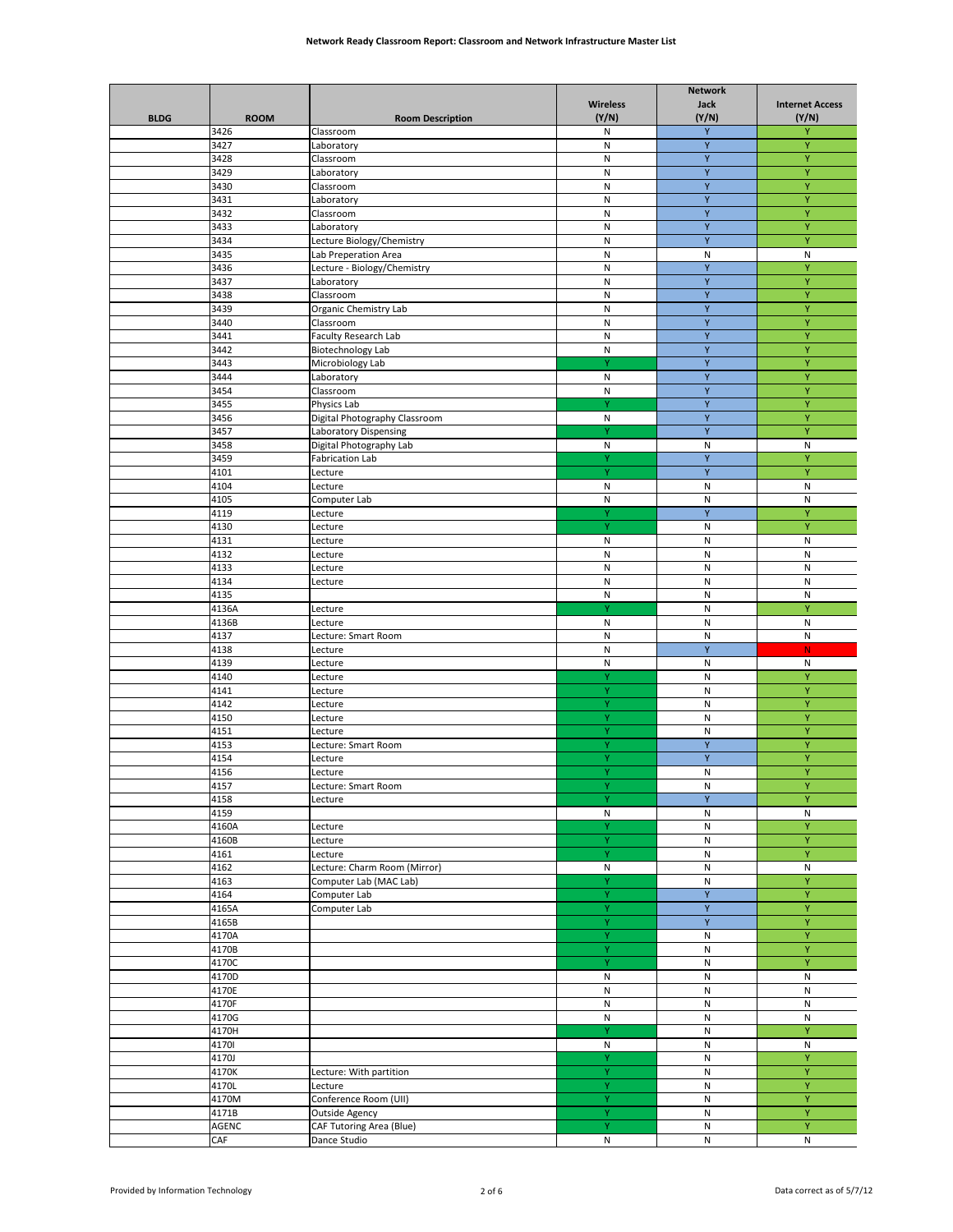|             |                |                               |                         | <b>Network</b>          |                         |
|-------------|----------------|-------------------------------|-------------------------|-------------------------|-------------------------|
|             |                |                               | <b>Wireless</b>         | Jack                    | <b>Internet Access</b>  |
| <b>BLDG</b> | <b>ROOM</b>    | <b>Room Description</b>       | (Y/N)                   | (Y/N)                   | (Y/N)                   |
|             | 3426           | Classroom                     | N                       | Y                       | Y                       |
|             | 3427           | Laboratory                    | ${\sf N}$               | Y                       | Y                       |
|             | 3428           | Classroom                     | ${\sf N}$               | $\mathsf{Y}$            | Y                       |
|             | 3429<br>3430   | Laboratory                    | ${\sf N}$<br>${\sf N}$  | Y<br>Υ                  | Y<br>Y                  |
|             | 3431           | Classroom<br>Laboratory       | N                       | Y                       | Ÿ                       |
|             | 3432           | Classroom                     | N                       | Y                       | Ÿ                       |
|             | 3433           | Laboratory                    | N                       | Y                       | Y                       |
|             | 3434           | Lecture Biology/Chemistry     | ${\sf N}$               | Y                       | Y                       |
|             | 3435           | Lab Preperation Area          | ${\sf N}$               | ${\sf N}$               | ${\sf N}$               |
|             | 3436           | Lecture - Biology/Chemistry   | ${\sf N}$               | $\mathsf{Y}$            | Y                       |
|             | 3437           | Laboratory                    | $\mathsf{N}$            | $\mathsf{Y}$            | Y                       |
|             | 3438           | Classroom                     | ${\sf N}$               | Y                       | $\overline{\mathsf{Y}}$ |
|             | 3439           | Organic Chemistry Lab         | ${\sf N}$               | Y                       | Y                       |
|             | 3440           | Classroom                     | ${\sf N}$               | Y                       | Y                       |
|             | 3441           | Faculty Research Lab          | ${\sf N}$               | Y                       | Y                       |
|             | 3442           | Biotechnology Lab             | ${\sf N}$               | Y                       | Y                       |
|             | 3443           | Microbiology Lab              |                         | Y                       | Y                       |
|             | 3444           | Laboratory                    | N                       | Y                       | Ÿ                       |
|             | 3454           | Classroom                     | ${\sf N}$               | Y                       | Y                       |
|             | 3455           | Physics Lab                   | Ÿ                       | Y                       | Ÿ                       |
|             | 3456           | Digital Photography Classroom | ${\sf N}$               | Y                       | Y                       |
|             | 3457           | Laboratory Dispensing         | Ÿ                       | Y                       | Y                       |
|             | 3458           | Digital Photography Lab       | ${\sf N}$               | ${\sf N}$               | ${\sf N}$               |
|             | 3459           | <b>Fabrication Lab</b>        | Y                       | Y                       | Y                       |
|             | 4101           | Lecture                       | Ÿ                       | Y                       | $\overline{\mathsf{Y}}$ |
|             | 4104           | Lecture                       | N                       | ${\sf N}$               | ${\sf N}$               |
|             | 4105           | Computer Lab                  | ${\sf N}$               | ${\sf N}$<br>Y          | ${\sf N}$               |
|             | 4119           | Lecture                       | Υ<br>Ÿ                  |                         | Y<br>Y                  |
|             | 4130           | Lecture                       |                         | ${\sf N}$<br>N          |                         |
|             | 4131<br>4132   | Lecture<br>Lecture            | $\mathsf{N}$<br>N       | $\mathsf{N}$            | N<br>N                  |
|             | 4133           | Lecture                       | ${\sf N}$               | N                       | N                       |
|             | 4134           | Lecture                       | N                       | N                       | ${\sf N}$               |
|             | 4135           |                               | ${\sf N}$               | ${\sf N}$               | N                       |
|             | 4136A          | Lecture                       | Ÿ                       | N                       | Y                       |
|             | 4136B          | Lecture                       | ${\sf N}$               | N                       | ${\sf N}$               |
|             | 4137           | Lecture: Smart Room           | N                       | $\mathsf{N}$            | N                       |
|             | 4138           | Lecture                       | ${\sf N}$               | Υ                       | N.                      |
|             | 4139           | Lecture                       | N                       | ${\sf N}$               | N                       |
|             | 4140           | Lecture                       | Υ                       | ${\sf N}$               | Y                       |
|             | 4141           | Lecture                       | Ÿ                       | ${\sf N}$               | Y                       |
|             | 4142           | Lecture                       | Y                       | ${\sf N}$               | Ÿ                       |
|             | 4150           | Lecture                       |                         | ${\sf N}$               | Ÿ                       |
|             | 4151           | Lecture                       | Ÿ                       | ${\sf N}$               | Ÿ                       |
|             | 4153           | Lecture: Smart Room           | Ÿ                       | Y                       | Ÿ                       |
|             | 4154           | Lecture                       | Y                       | $\mathsf{Y}$            | Y                       |
|             | 4156           | Lecture                       | Ÿ                       | ${\sf N}$               | Ÿ                       |
|             | 4157           | Lecture: Smart Room           | Y                       | N                       | Υ                       |
|             | 4158           | Lecture                       | $\mathsf{Y}$            | $\mathsf Y$             | Ÿ                       |
|             | 4159           |                               | N                       | ${\sf N}$               | ${\sf N}$               |
|             | 4160A          | Lecture                       | Ÿ                       | ${\sf N}$               | Ÿ                       |
|             | 4160B          | Lecture                       | Y                       | ${\sf N}$               | Ÿ                       |
|             | 4161           | Lecture                       | Y                       | ${\sf N}$               | Y                       |
|             | 4162           | Lecture: Charm Room (Mirror)  | $\overline{\mathsf{N}}$ | ${\sf N}$               | ${\sf N}$               |
|             | 4163           | Computer Lab (MAC Lab)        | Ý                       | ${\sf N}$               | Ÿ                       |
|             | 4164           | Computer Lab                  | Ÿ<br>Ÿ                  | $\overline{\mathsf{Y}}$ | Ÿ<br>Ÿ                  |
|             | 4165A          | Computer Lab                  | Ÿ                       | Y<br>Y                  | Y                       |
|             | 4165B          |                               | Y                       | ${\sf N}$               | $\overline{Y}$          |
|             | 4170A<br>4170B |                               | Ÿ                       | ${\sf N}$               | $\overline{\mathsf{Y}}$ |
|             | 4170C          |                               | $\bar{\mathsf{Y}}$      | ${\sf N}$               | Ÿ                       |
|             | 4170D          |                               | ${\sf N}$               | ${\sf N}$               | ${\sf N}$               |
|             | 4170E          |                               | ${\sf N}$               | ${\sf N}$               | ${\sf N}$               |
|             | 4170F          |                               | ${\sf N}$               | ${\sf N}$               | ${\sf N}$               |
|             | 4170G          |                               | ${\sf N}$               | ${\sf N}$               | ${\sf N}$               |
|             | 4170H          |                               | Ÿ                       | ${\sf N}$               | Ÿ                       |
|             | 41701          |                               | $\overline{\mathsf{N}}$ | ${\sf N}$               | ${\sf N}$               |
|             | 4170J          |                               | Ÿ                       | ${\sf N}$               | Ÿ                       |
|             | 4170K          | Lecture: With partition       | Ÿ                       | ${\sf N}$               | Ÿ                       |
|             | 4170L          | Lecture                       | Ÿ                       | ${\sf N}$               | Ÿ                       |
|             | 4170M          | Conference Room (UII)         | Y                       | ${\sf N}$               | Ÿ                       |
|             | 4171B          | Outside Agency                | Ÿ                       | ${\sf N}$               | Ÿ                       |
|             | AGENC          | CAF Tutoring Area (Blue)      | Ÿ                       | ${\sf N}$               | $\overline{\mathsf{Y}}$ |
|             | CAF            | Dance Studio                  | ${\sf N}$               | ${\sf N}$               | ${\sf N}$               |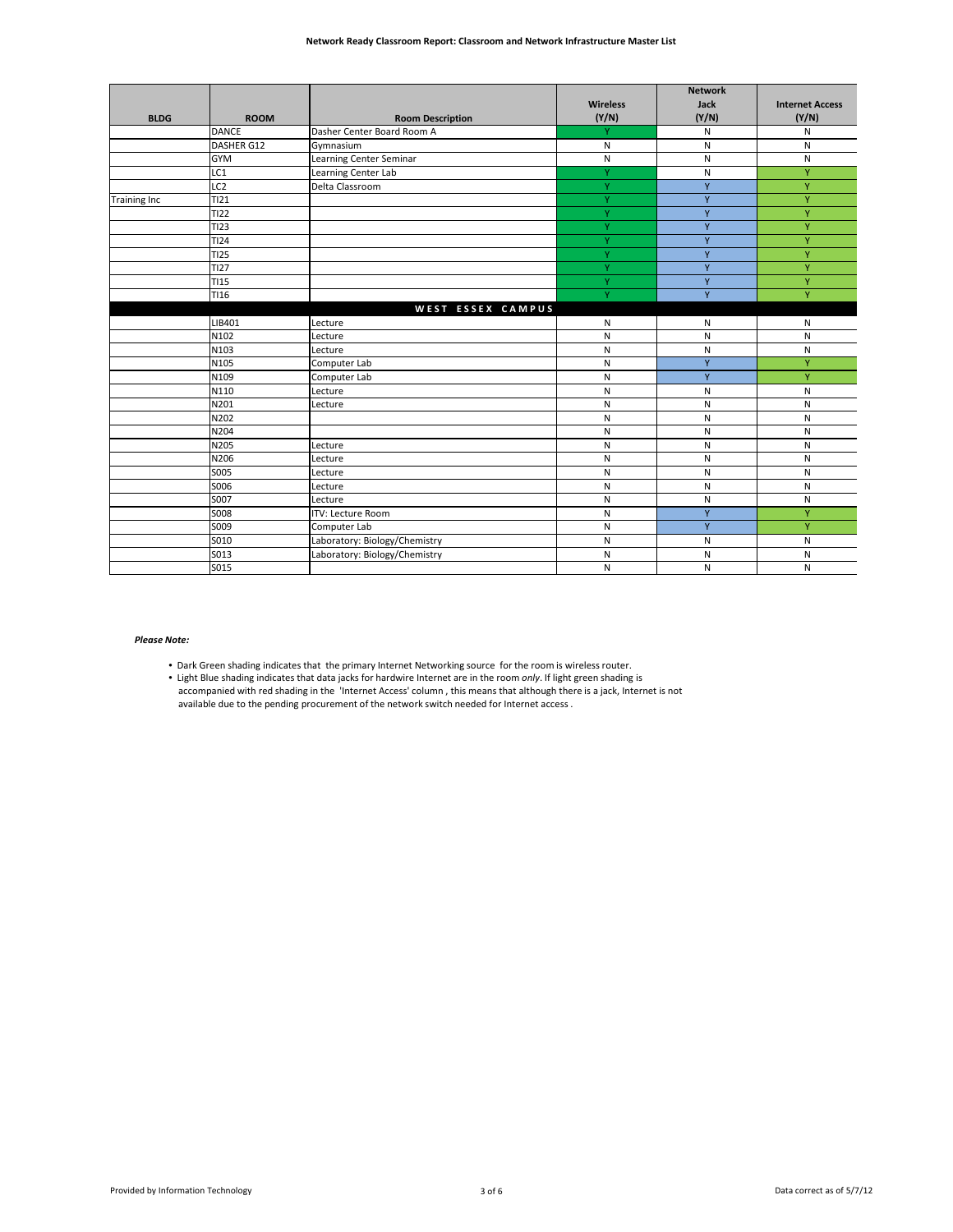|                     |                  |                               |                 | <b>Network</b> |                        |
|---------------------|------------------|-------------------------------|-----------------|----------------|------------------------|
|                     |                  |                               | <b>Wireless</b> | <b>Jack</b>    | <b>Internet Access</b> |
| <b>BLDG</b>         | <b>ROOM</b>      | <b>Room Description</b>       | (Y/N)           | (Y/N)          | (Y/N)                  |
|                     | <b>DANCE</b>     | Dasher Center Board Room A    | Y               | N              | N                      |
|                     | DASHER G12       | Gymnasium                     | N               | N              | N                      |
|                     | <b>GYM</b>       | Learning Center Seminar       | N               | N              | N                      |
|                     | LC1              | Learning Center Lab           | Y               | N              | Y                      |
|                     | LC <sub>2</sub>  | Delta Classroom               | Y               | Y              | Ÿ                      |
| <b>Training Inc</b> | TI21             |                               | Y               | Y              | Ÿ                      |
|                     | TI22             |                               | Ÿ               | Y              | Ÿ                      |
|                     | TI23             |                               | Y               | Y              | Ÿ                      |
|                     | <b>TI24</b>      |                               | Y               | Y              | Ÿ                      |
|                     | <b>TI25</b>      |                               | Ÿ               | Y              | Ÿ                      |
|                     | T <sub>127</sub> |                               | Y               | Y              | Ÿ                      |
|                     | TI <sub>15</sub> |                               | Y               | Y              | Ÿ                      |
|                     | TI16             |                               | Y               | Y              | Ÿ                      |
|                     |                  | WEST ESSEX CAMPUS             |                 |                |                        |
|                     | LIB401           | Lecture                       | N               | N              | N                      |
|                     | N102             | Lecture                       | N               | N              | N                      |
|                     | N103             | Lecture                       | N               | N              | N                      |
|                     | N105             | Computer Lab                  | N               | Y              | Ÿ                      |
|                     | N109             | Computer Lab                  | N               | Y              | Ÿ                      |
|                     | N110             | Lecture                       | N               | N              | N                      |
|                     | N201             | Lecture                       | N               | N              | N                      |
|                     | N202             |                               | N               | N              | N                      |
|                     | N204             |                               | N               | N              | N                      |
|                     | N205             | Lecture                       | N               | N              | N                      |
|                     | N206             | Lecture                       | N               | N              | N                      |
|                     | <b>SO05</b>      | Lecture                       | N               | N              | N                      |
|                     | S006             | Lecture                       | N               | N              | N                      |
|                     | S007             | Lecture                       | N               | N              | N                      |
|                     | <b>SO08</b>      | <b>ITV: Lecture Room</b>      | N               | Y              | Ÿ                      |
|                     | S009             | Computer Lab                  | N               | Y              | Y                      |
|                     | S010             | Laboratory: Biology/Chemistry | N               | N              | N                      |
|                     | S013             | Laboratory: Biology/Chemistry | N               | N              | N                      |
|                     | S015             |                               | N               | N              | N                      |

## *Please Note:*

- Dark Green shading indicates that the primary Internet Networking source for the room is wireless router.
- Light Blue shading indicates that data jacks for hardwire Internet are in the room *only*. If light green shading is accompanied with red shading in the 'Internet Access' column , this means that although there is a jack, Internet is not available due to the pending procurement of the network switch needed for Internet access .